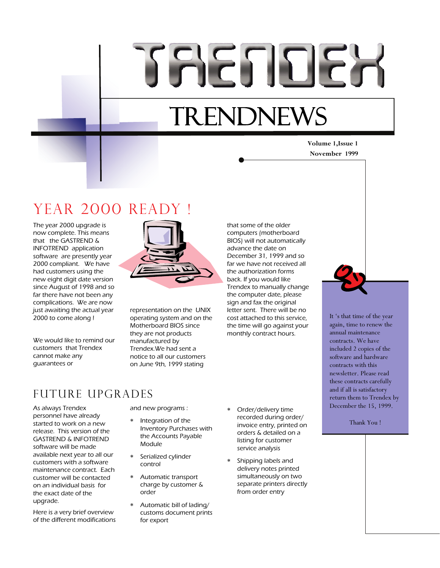# TRETIER

# **TRENDNEWS**

# **Volume 1,Issue 1**

#### **November 1999**

# YEAR 2000 READY

The year 2000 upgrade is now complete. This means that the GASTREND & INFOTREND application software are presently year 2000 compliant. We have had customers using the new eight digit date version since August of 1998 and so far there have not been any complications. We are now just awaiting the actual year 2000 to come along !

We would like to remind our customers that Trendex cannot make any guarantees or



representation on the UNIX operating system and on the Motherboard BIOS since they are not products manufactured by Trendex.We had sent a notice to all our customers on June 9th, 1999 stating

that some of the older computers (motherboard BIOS) will not automatically advance the date on December 31, 1999 and so far we have not received all the authorization forms back. If you would like Trendex to manually change the computer date, please sign and fax the original letter sent. There will be no cost attached to this service, the time will go against your monthly contract hours.



It 's that time of the year again, time to renew the annual maintenance contracts. We have included 2 copies of the software and hardware contracts with this newsletter. Please read these contracts carefully and if all is satisfactory return them to Trendex by December the 15, 1999.

Thank You !

## Future UPGRADES

As always Trendex personnel have already started to work on a new release. This version of the GASTREND & INFOTREND software will be made available next year to all our customers with a software maintenance contract. Each customer will be contacted on an individual basis for the exact date of the upgrade.

Here is a very brief overview of the different modifications and new programs :

- Integration of the Inventory Purchases with the Accounts Payable Module
- Serialized cylinder control
- Automatic transport charge by customer & order
- Automatic bill of lading/ customs document prints for export
- Order/delivery time recorded during order/ invoice entry, printed on orders & detailed on a listing for customer service analysis
- Shipping labels and delivery notes printed simultaneously on two separate printers directly from order entry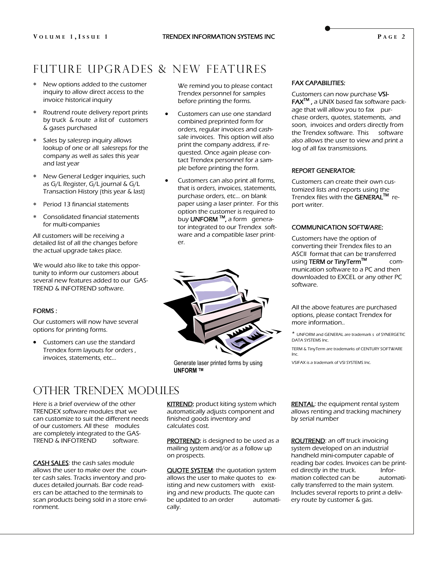#### **P AGE 2**

## Future UPGRADES & new features

- New options added to the customer inquiry to allow direct access to the invoice historical inquiry
- Routrend route delivery report prints by truck & route a list of customers & gases purchased
- Sales by salesrep inquiry allows lookup of one or all salesreps for the company as well as sales this year and last year
- New General Ledger inquiries, such as G/L Register, G/L journal & G/L Transaction History (this year & last)
- Period 13 financial statements
- Consolidated financial statements for multi-companies

All customers will be receiving a detailed list of all the changes before the actual upgrade takes place.

We would also like to take this opportunity to inform our customers about several new features added to our GAS-TREND & INFOTREND software.

#### FORMS :

Our customers will now have several options for printing forms.

 Customers can use the standard Trendex form layouts for orders , invoices, statements, etc...

We remind you to please contact Trendex personnel for samples before printing the forms.

- Customers can use one standard combined preprinted form for orders, regular invoices and cashsale invoices. This option will also print the company address, if requested. Once again please contact Trendex personnel for a sample before printing the form.
- Customers can also print all forms, that is orders, invoices, statements, purchase orders, etc… on blank paper using a laser printer. For this option the customer is required to buy UNFORM<sup>™</sup>, a form generator integrated to our Trendex software and a compatible laser printer.



 Generate laser printed forms by using **UNFORM TM** 

### OTHER TRENDEX MODULES

Here is a brief overview of the other TRENDEX software modules that we can customize to suit the different needs of our customers. All these modules are completely integrated to the GAS-TREND & INFOTREND software.

**CASH SALES:** the cash sales module allows the user to make over the counter cash sales. Tracks inventory and produces detailed journals. Bar code readers can be attached to the terminals to scan products being sold in a store environment.

**KITREND:** product kiting system which automatically adjusts component and finished goods inventory and calculates cost.

PROTREND: is designed to be used as a mailing system and/or as a follow up on prospects.

**QUOTE SYSTEM:** the quotation system allows the user to make quotes to existing and new customers with existing and new products. The quote can be updated to an order automatically.

#### FAX CAPABILITIES:

Customers can now purchase VSI-FAXTM , a UNIX based fax software package that will allow you to fax purchase orders, quotes, statements, and soon, invoices and orders directly from the Trendex software. This software also allows the user to view and print a log of all fax transmissions.

#### REPORT GENERATOR:

Customers can create their own customized lists and reports using the Trendex files with the GENERAL™ report writer.

#### COMMUNICATION SOFTWARE:

Customers have the option of converting their Trendex files to an ASCII format that can be transferred using TERM or TinyTerm™ communication software to a PC and then downloaded to EXCEL or any other PC software.

All the above features are purchased options, please contact Trendex for more information..

\* UNFORM and GENERAL are trademark s of SYNERGETIC DATA SYSTEMS Inc.

TERM & TinyTerm are trademarks of CENTURY SOFTWARE Inc.

VSIFAX is a trademark of VSI SYSTEMS Inc.

**RENTAL:** the equipment rental system allows renting and tracking machinery by serial number

**ROUTREND:** an off truck invoicing system developed on an industrial handheld mini-computer capable of reading bar codes. Invoices can be printed directly in the truck. ed directly in the truck. mation collected can be automatically transferred to the main system. Includes several reports to print a delivery route by customer & gas.